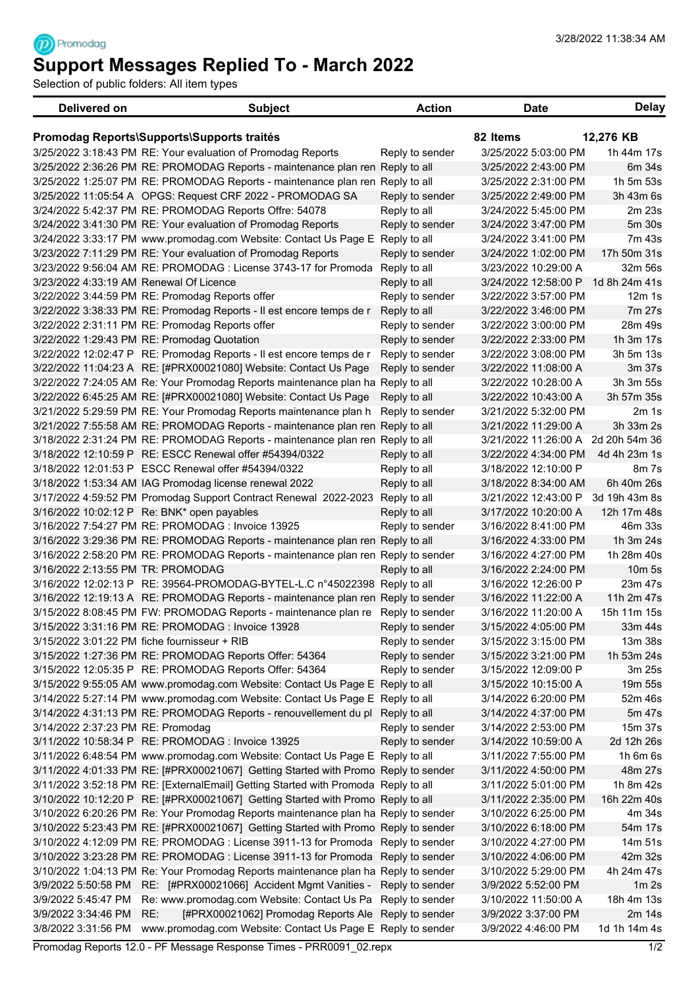## **Support Messages Replied To - March 2022**

Selection of public folders: All item types

<sup><sup>2</sup></sub></sup>

| <b>Delivered on</b>                                                 | <b>Subject</b>                                                                     | <b>Action</b>   | <b>Date</b>          | <b>Delay</b>     |  |
|---------------------------------------------------------------------|------------------------------------------------------------------------------------|-----------------|----------------------|------------------|--|
| 82 Items<br>12,276 KB<br>Promodag Reports\Supports\Supports traités |                                                                                    |                 |                      |                  |  |
|                                                                     | 3/25/2022 3:18:43 PM RE: Your evaluation of Promodag Reports                       | Reply to sender | 3/25/2022 5:03:00 PM | 1h 44m 17s       |  |
|                                                                     | 3/25/2022 2:36:26 PM RE: PROMODAG Reports - maintenance plan ren Reply to all      |                 | 3/25/2022 2:43:00 PM | 6m 34s           |  |
|                                                                     | 3/25/2022 1:25:07 PM RE: PROMODAG Reports - maintenance plan ren Reply to all      |                 | 3/25/2022 2:31:00 PM | 1h 5m 53s        |  |
|                                                                     | 3/25/2022 11:05:54 A OPGS: Request CRF 2022 - PROMODAG SA                          | Reply to sender | 3/25/2022 2:49:00 PM | 3h 43m 6s        |  |
|                                                                     | 3/24/2022 5:42:37 PM RE: PROMODAG Reports Offre: 54078                             | Reply to all    | 3/24/2022 5:45:00 PM | 2m 23s           |  |
|                                                                     | 3/24/2022 3:41:30 PM RE: Your evaluation of Promodag Reports                       | Reply to sender | 3/24/2022 3:47:00 PM | 5m 30s           |  |
|                                                                     | 3/24/2022 3:33:17 PM www.promodag.com Website: Contact Us Page E Reply to all      |                 | 3/24/2022 3:41:00 PM | 7m 43s           |  |
|                                                                     | 3/23/2022 7:11:29 PM RE: Your evaluation of Promodag Reports                       | Reply to sender | 3/24/2022 1:02:00 PM | 17h 50m 31s      |  |
|                                                                     | 3/23/2022 9:56:04 AM RE: PROMODAG : License 3743-17 for Promoda                    | Reply to all    | 3/23/2022 10:29:00 A | 32m 56s          |  |
| 3/23/2022 4:33:19 AM Renewal Of Licence                             |                                                                                    | Reply to all    | 3/24/2022 12:58:00 P | 1d 8h 24m 41s    |  |
|                                                                     | 3/22/2022 3:44:59 PM RE: Promodag Reports offer                                    | Reply to sender | 3/22/2022 3:57:00 PM | $12m$ 1s         |  |
|                                                                     | 3/22/2022 3:38:33 PM RE: Promodag Reports - Il est encore temps de r               | Reply to all    | 3/22/2022 3:46:00 PM | 7m 27s           |  |
|                                                                     | 3/22/2022 2:31:11 PM RE: Promodag Reports offer                                    | Reply to sender | 3/22/2022 3:00:00 PM | 28m 49s          |  |
|                                                                     | 3/22/2022 1:29:43 PM RE: Promodag Quotation                                        | Reply to sender | 3/22/2022 2:33:00 PM | 1h 3m 17s        |  |
|                                                                     | 3/22/2022 12:02:47 P RE: Promodag Reports - Il est encore temps de r               | Reply to sender | 3/22/2022 3:08:00 PM | 3h 5m 13s        |  |
|                                                                     | 3/22/2022 11:04:23 A RE: [#PRX00021080] Website: Contact Us Page                   | Reply to sender | 3/22/2022 11:08:00 A | 3m 37s           |  |
|                                                                     | 3/22/2022 7:24:05 AM Re: Your Promodag Reports maintenance plan ha Reply to all    |                 | 3/22/2022 10:28:00 A | 3h 3m 55s        |  |
|                                                                     | 3/22/2022 6:45:25 AM RE: [#PRX00021080] Website: Contact Us Page                   | Reply to all    | 3/22/2022 10:43:00 A | 3h 57m 35s       |  |
|                                                                     | 3/21/2022 5:29:59 PM RE: Your Promodag Reports maintenance plan h                  | Reply to sender | 3/21/2022 5:32:00 PM | 2m 1s            |  |
|                                                                     | 3/21/2022 7:55:58 AM RE: PROMODAG Reports - maintenance plan ren Reply to all      |                 | 3/21/2022 11:29:00 A | 3h 33m 2s        |  |
|                                                                     | 3/18/2022 2:31:24 PM RE: PROMODAG Reports - maintenance plan ren Reply to all      |                 | 3/21/2022 11:26:00 A | 2d 20h 54m 36    |  |
|                                                                     | 3/18/2022 12:10:59 P RE: ESCC Renewal offer #54394/0322                            | Reply to all    | 3/22/2022 4:34:00 PM | 4d 4h 23m 1s     |  |
|                                                                     | 3/18/2022 12:01:53 P ESCC Renewal offer #54394/0322                                | Reply to all    | 3/18/2022 12:10:00 P | 8m 7s            |  |
|                                                                     | 3/18/2022 1:53:34 AM IAG Promodag license renewal 2022                             | Reply to all    | 3/18/2022 8:34:00 AM | 6h 40m 26s       |  |
|                                                                     | 3/17/2022 4:59:52 PM Promodag Support Contract Renewal 2022-2023                   | Reply to all    | 3/21/2022 12:43:00 P | 3d 19h 43m 8s    |  |
|                                                                     | 3/16/2022 10:02:12 P Re: BNK* open payables                                        | Reply to all    | 3/17/2022 10:20:00 A | 12h 17m 48s      |  |
|                                                                     | 3/16/2022 7:54:27 PM RE: PROMODAG : Invoice 13925                                  | Reply to sender | 3/16/2022 8:41:00 PM | 46m 33s          |  |
|                                                                     | 3/16/2022 3:29:36 PM RE: PROMODAG Reports - maintenance plan ren Reply to all      |                 | 3/16/2022 4:33:00 PM | 1h 3m 24s        |  |
|                                                                     | 3/16/2022 2:58:20 PM RE: PROMODAG Reports - maintenance plan ren Reply to sender   |                 | 3/16/2022 4:27:00 PM | 1h 28m 40s       |  |
| 3/16/2022 2:13:55 PM TR: PROMODAG                                   |                                                                                    | Reply to all    | 3/16/2022 2:24:00 PM | 10m 5s           |  |
|                                                                     | 3/16/2022 12:02:13 P RE: 39564-PROMODAG-BYTEL-L.C n°45022398 Reply to all          |                 | 3/16/2022 12:26:00 P | 23m 47s          |  |
|                                                                     | 3/16/2022 12:19:13 A RE: PROMODAG Reports - maintenance plan ren Reply to sender   |                 | 3/16/2022 11:22:00 A | 11h 2m 47s       |  |
|                                                                     | 3/15/2022 8:08:45 PM FW: PROMODAG Reports - maintenance plan re Reply to sender    |                 | 3/16/2022 11:20:00 A | 15h 11m 15s      |  |
|                                                                     | 3/15/2022 3:31:16 PM RE: PROMODAG : Invoice 13928                                  | Reply to sender | 3/15/2022 4:05:00 PM | 33m 44s          |  |
|                                                                     | 3/15/2022 3:01:22 PM fiche fournisseur + RIB                                       | Reply to sender | 3/15/2022 3:15:00 PM | 13m 38s          |  |
|                                                                     | 3/15/2022 1:27:36 PM RE: PROMODAG Reports Offer: 54364                             | Reply to sender | 3/15/2022 3:21:00 PM | 1h 53m 24s       |  |
|                                                                     | 3/15/2022 12:05:35 P RE: PROMODAG Reports Offer: 54364                             | Reply to sender | 3/15/2022 12:09:00 P | 3m 25s           |  |
|                                                                     | 3/15/2022 9:55:05 AM www.promodag.com Website: Contact Us Page E Reply to all      |                 | 3/15/2022 10:15:00 A | 19m 55s          |  |
|                                                                     | 3/14/2022 5:27:14 PM www.promodag.com Website: Contact Us Page E Reply to all      |                 | 3/14/2022 6:20:00 PM | 52m 46s          |  |
|                                                                     | 3/14/2022 4:31:13 PM RE: PROMODAG Reports - renouvellement du pl                   | Reply to all    | 3/14/2022 4:37:00 PM | 5m 47s           |  |
| 3/14/2022 2:37:23 PM RE: Promodag                                   |                                                                                    | Reply to sender | 3/14/2022 2:53:00 PM | 15m 37s          |  |
|                                                                     | 3/11/2022 10:58:34 P RE: PROMODAG : Invoice 13925                                  | Reply to sender | 3/14/2022 10:59:00 A | 2d 12h 26s       |  |
|                                                                     | 3/11/2022 6:48:54 PM www.promodag.com Website: Contact Us Page E Reply to all      |                 | 3/11/2022 7:55:00 PM | 1h 6m 6s         |  |
|                                                                     | 3/11/2022 4:01:33 PM RE: [#PRX00021067] Getting Started with Promo Reply to sender |                 | 3/11/2022 4:50:00 PM | 48m 27s          |  |
|                                                                     | 3/11/2022 3:52:18 PM RE: [ExternalEmail] Getting Started with Promoda Reply to all |                 | 3/11/2022 5:01:00 PM | 1h 8m 42s        |  |
|                                                                     | 3/10/2022 10:12:20 P RE: [#PRX00021067] Getting Started with Promo Reply to all    |                 | 3/11/2022 2:35:00 PM | 16h 22m 40s      |  |
|                                                                     | 3/10/2022 6:20:26 PM Re: Your Promodag Reports maintenance plan ha Reply to sender |                 | 3/10/2022 6:25:00 PM | 4m 34s           |  |
|                                                                     | 3/10/2022 5:23:43 PM RE: [#PRX00021067] Getting Started with Promo Reply to sender |                 | 3/10/2022 6:18:00 PM | 54m 17s          |  |
|                                                                     | 3/10/2022 4:12:09 PM RE: PROMODAG : License 3911-13 for Promoda Reply to sender    |                 | 3/10/2022 4:27:00 PM | 14m 51s          |  |
|                                                                     | 3/10/2022 3:23:28 PM RE: PROMODAG : License 3911-13 for Promoda Reply to sender    |                 | 3/10/2022 4:06:00 PM | 42m 32s          |  |
|                                                                     | 3/10/2022 1:04:13 PM Re: Your Promodag Reports maintenance plan ha Reply to sender |                 | 3/10/2022 5:29:00 PM | 4h 24m 47s       |  |
| 3/9/2022 5:50:58 PM                                                 | RE: [#PRX00021066] Accident Mgmt Vanities - Reply to sender                        |                 | 3/9/2022 5:52:00 PM  | 1m <sub>2s</sub> |  |
| 3/9/2022 5:45:47 PM                                                 | Re: www.promodag.com Website: Contact Us Pa Reply to sender                        |                 | 3/10/2022 11:50:00 A | 18h 4m 13s       |  |
| 3/9/2022 3:34:46 PM                                                 | [#PRX00021062] Promodag Reports Ale Reply to sender<br>RE:                         |                 | 3/9/2022 3:37:00 PM  | 2m 14s           |  |
| 3/8/2022 3:31:56 PM                                                 | www.promodag.com Website: Contact Us Page E Reply to sender                        |                 | 3/9/2022 4:46:00 PM  | 1d 1h 14m 4s     |  |

Promodag Reports 12.0 - PF Message Response Times - PRR0091\_02.repx 1/2